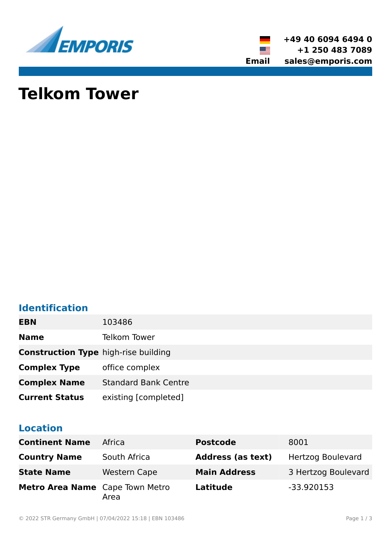



# **Telkom Tower**

### **Identification**

| <b>EBN</b>                                  | 103486                      |
|---------------------------------------------|-----------------------------|
| <b>Name</b>                                 | Telkom Tower                |
| <b>Construction Type high-rise building</b> |                             |
| <b>Complex Type</b>                         | office complex              |
| <b>Complex Name</b>                         | <b>Standard Bank Centre</b> |
| <b>Current Status</b>                       | existing [completed]        |

#### **Location**

| <b>Continent Name</b>           | Africa              | <b>Postcode</b>          | 8001                     |
|---------------------------------|---------------------|--------------------------|--------------------------|
| <b>Country Name</b>             | South Africa        | <b>Address (as text)</b> | <b>Hertzog Boulevard</b> |
| <b>State Name</b>               | <b>Western Cape</b> | <b>Main Address</b>      | 3 Hertzog Boulevard      |
| Metro Area Name Cape Town Metro | Area                | <b>Latitude</b>          | $-33.920153$             |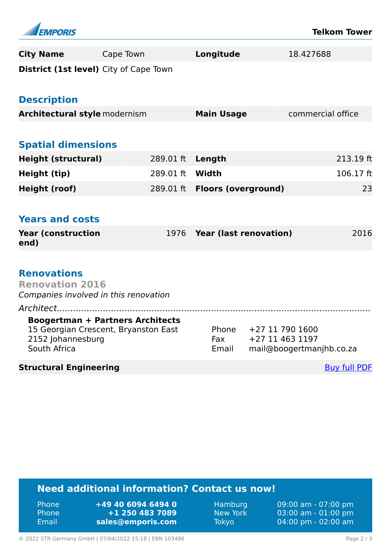| <b>EMPORIS</b>                                |                                         |                            |                               | <b>Telkom Tower</b>      |
|-----------------------------------------------|-----------------------------------------|----------------------------|-------------------------------|--------------------------|
| <b>City Name</b>                              | Cape Town                               | Longitude                  |                               | 18.427688                |
| <b>District (1st level)</b> City of Cape Town |                                         |                            |                               |                          |
|                                               |                                         |                            |                               |                          |
| <b>Description</b>                            |                                         |                            |                               |                          |
| <b>Architectural style modernism</b>          |                                         | <b>Main Usage</b>          |                               | commercial office        |
|                                               |                                         |                            |                               |                          |
| <b>Spatial dimensions</b>                     |                                         |                            |                               |                          |
| <b>Height (structural)</b>                    | 289.01 ft                               | Length                     |                               | 213.19 ft                |
| Height (tip)                                  | 289.01 ft                               | Width                      |                               | 106.17 ft                |
| <b>Height (roof)</b>                          | 289.01 ft                               | <b>Floors (overground)</b> |                               | 23                       |
|                                               |                                         |                            |                               |                          |
| <b>Years and costs</b>                        |                                         |                            |                               |                          |
| <b>Year (construction</b><br>end)             | 1976                                    |                            | <b>Year (last renovation)</b> | 2016                     |
|                                               |                                         |                            |                               |                          |
| <b>Renovations</b>                            |                                         |                            |                               |                          |
| <b>Renovation 2016</b>                        |                                         |                            |                               |                          |
| Companies involved in this renovation         |                                         |                            |                               |                          |
| Architect                                     |                                         |                            |                               |                          |
|                                               | <b>Boogertman + Partners Architects</b> |                            |                               |                          |
|                                               | 15 Georgian Crescent, Bryanston East    | Phone                      | +27 11 790 1600               |                          |
| 2152 Johannesburg<br>South Africa             |                                         | Fax<br>Email               | +27 11 463 1197               |                          |
|                                               |                                         |                            |                               | mail@boogertmanjhb.co.za |
| <b>Structural Engineering</b>                 |                                         |                            |                               | <b>Buy full PDF</b>      |
|                                               |                                         |                            |                               |                          |

## **Need additional information? Contact us now!**

| <b>Phone</b> | +49 40 6094 6494 0 |
|--------------|--------------------|
| <b>Phone</b> | +1 250 483 7089    |
| Email        | sales@emporis.com  |

Hamburg 09:00 am - 07:00 pm<br>New York 03:00 am - 01:00 pm New York 03:00 am - 01:00 pm<br>Tokyo 04:00 pm - 02:00 am 04:00 pm - 02:00 am